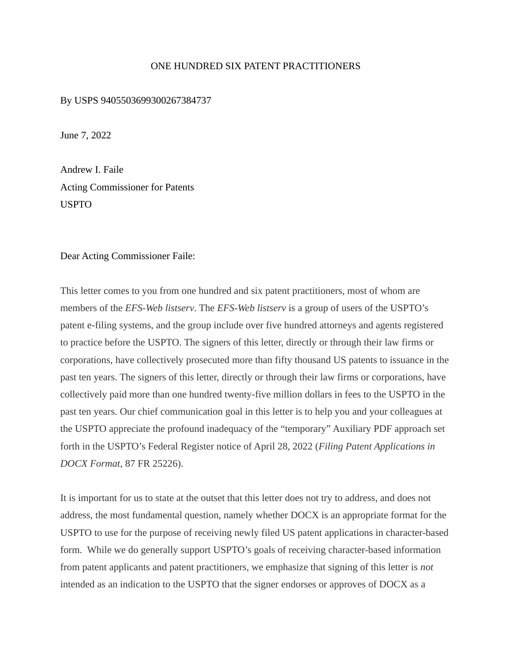## ONE HUNDRED SIX PATENT PRACTITIONERS

By USPS 9405503699300267384737

June 7, 2022

Andrew I. Faile Acting Commissioner for Patents USPTO

## Dear Acting Commissioner Faile:

This letter comes to you from one hundred and six patent practitioners, most of whom are members of the *EFS-Web listserv*. The *EFS-Web listserv* is a group of users of the USPTO's patent e-filing systems, and the group include over five hundred attorneys and agents registered to practice before the USPTO. The signers of this letter, directly or through their law firms or corporations, have collectively prosecuted more than fifty thousand US patents to issuance in the past ten years. The signers of this letter, directly or through their law firms or corporations, have collectively paid more than one hundred twenty-five million dollars in fees to the USPTO in the past ten years. Our chief communication goal in this letter is to help you and your colleagues at the USPTO appreciate the profound inadequacy of the "temporary" Auxiliary PDF approach set forth in the USPTO's Federal Register notice of April 28, 2022 (*Filing Patent Applications in DOCX Format*, 87 FR 25226).

It is important for us to state at the outset that this letter does not try to address, and does not address, the most fundamental question, namely whether DOCX is an appropriate format for the USPTO to use for the purpose of receiving newly filed US patent applications in character-based form. While we do generally support USPTO's goals of receiving character-based information from patent applicants and patent practitioners, we emphasize that signing of this letter is *not*  intended as an indication to the USPTO that the signer endorses or approves of DOCX as a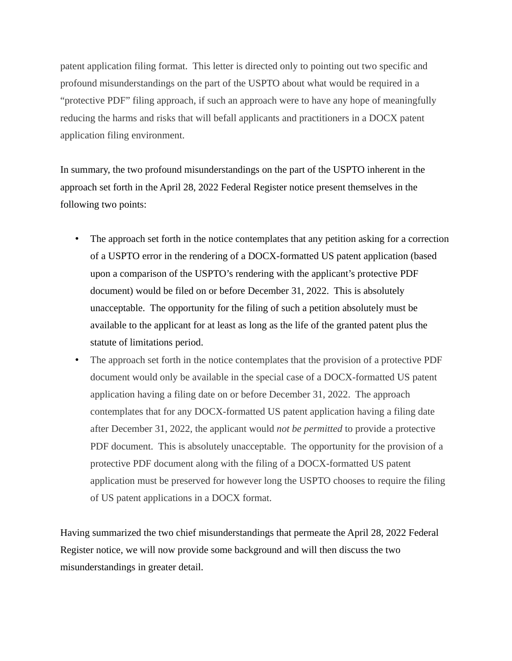patent application filing format. This letter is directed only to pointing out two specific and profound misunderstandings on the part of the USPTO about what would be required in a "protective PDF" filing approach, if such an approach were to have any hope of meaningfully reducing the harms and risks that will befall applicants and practitioners in a DOCX patent application filing environment.

In summary, the two profound misunderstandings on the part of the USPTO inherent in the approach set forth in the April 28, 2022 Federal Register notice present themselves in the following two points:

- The approach set forth in the notice contemplates that any petition asking for a correction of a USPTO error in the rendering of a DOCX-formatted US patent application (based upon a comparison of the USPTO's rendering with the applicant's protective PDF document) would be filed on or before December 31, 2022. This is absolutely unacceptable. The opportunity for the filing of such a petition absolutely must be available to the applicant for at least as long as the life of the granted patent plus the statute of limitations period.
- The approach set forth in the notice contemplates that the provision of a protective PDF document would only be available in the special case of a DOCX-formatted US patent application having a filing date on or before December 31, 2022. The approach contemplates that for any DOCX-formatted US patent application having a filing date after December 31, 2022, the applicant would *not be permitted* to provide a protective PDF document. This is absolutely unacceptable. The opportunity for the provision of a protective PDF document along with the filing of a DOCX-formatted US patent application must be preserved for however long the USPTO chooses to require the filing of US patent applications in a DOCX format.

Having summarized the two chief misunderstandings that permeate the April 28, 2022 Federal Register notice, we will now provide some background and will then discuss the two misunderstandings in greater detail.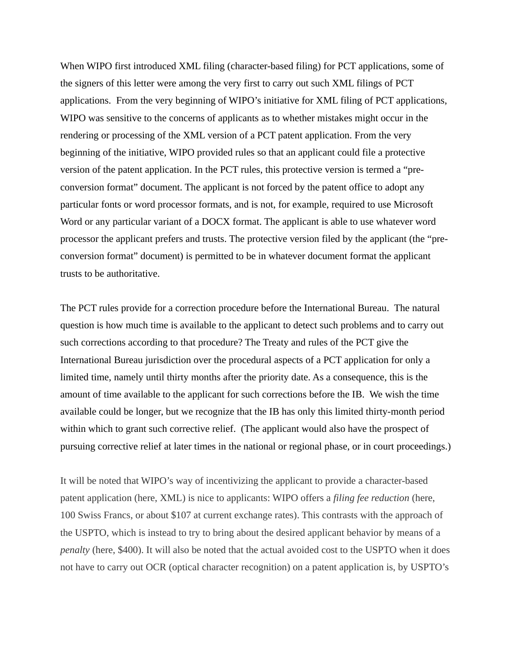When WIPO first introduced XML filing (character-based filing) for PCT applications, some of the signers of this letter were among the very first to carry out such XML filings of PCT applications. From the very beginning of WIPO's initiative for XML filing of PCT applications, WIPO was sensitive to the concerns of applicants as to whether mistakes might occur in the rendering or processing of the XML version of a PCT patent application. From the very beginning of the initiative, WIPO provided rules so that an applicant could file a protective version of the patent application. In the PCT rules, this protective version is termed a "preconversion format" document. The applicant is not forced by the patent office to adopt any particular fonts or word processor formats, and is not, for example, required to use Microsoft Word or any particular variant of a DOCX format. The applicant is able to use whatever word processor the applicant prefers and trusts. The protective version filed by the applicant (the "preconversion format" document) is permitted to be in whatever document format the applicant trusts to be authoritative.

The PCT rules provide for a correction procedure before the International Bureau. The natural question is how much time is available to the applicant to detect such problems and to carry out such corrections according to that procedure? The Treaty and rules of the PCT give the International Bureau jurisdiction over the procedural aspects of a PCT application for only a limited time, namely until thirty months after the priority date. As a consequence, this is the amount of time available to the applicant for such corrections before the IB. We wish the time available could be longer, but we recognize that the IB has only this limited thirty-month period within which to grant such corrective relief. (The applicant would also have the prospect of pursuing corrective relief at later times in the national or regional phase, or in court proceedings.)

It will be noted that WIPO's way of incentivizing the applicant to provide a character-based patent application (here, XML) is nice to applicants: WIPO offers a *filing fee reduction* (here, 100 Swiss Francs, or about \$107 at current exchange rates). This contrasts with the approach of the USPTO, which is instead to try to bring about the desired applicant behavior by means of a *penalty* (here, \$400). It will also be noted that the actual avoided cost to the USPTO when it does not have to carry out OCR (optical character recognition) on a patent application is, by USPTO's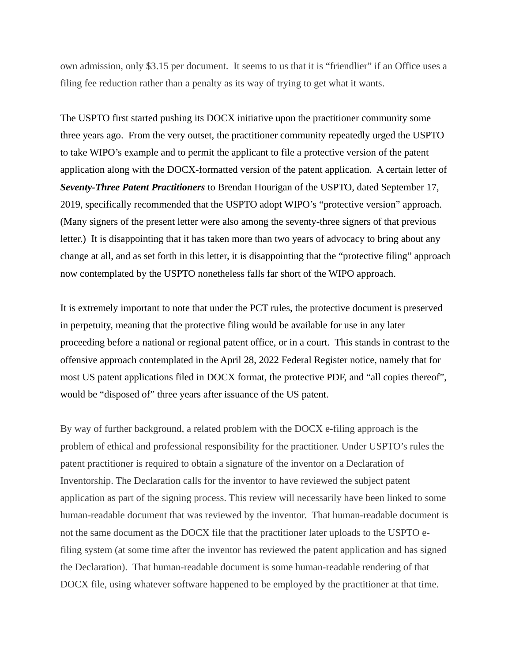own admission, only \$3.15 per document. It seems to us that it is "friendlier" if an Office uses a filing fee reduction rather than a penalty as its way of trying to get what it wants.

The USPTO first started pushing its DOCX initiative upon the practitioner community some three years ago. From the very outset, the practitioner community repeatedly urged the USPTO to take WIPO's example and to permit the applicant to file a protective version of the patent application along with the DOCX-formatted version of the patent application. A certain letter of *Seventy-Three Patent Practitioners* to Brendan Hourigan of the USPTO, dated September 17, 2019, specifically recommended that the USPTO adopt WIPO's "protective version" approach. (Many signers of the present letter were also among the seventy-three signers of that previous letter.) It is disappointing that it has taken more than two years of advocacy to bring about any change at all, and as set forth in this letter, it is disappointing that the "protective filing" approach now contemplated by the USPTO nonetheless falls far short of the WIPO approach.

It is extremely important to note that under the PCT rules, the protective document is preserved in perpetuity, meaning that the protective filing would be available for use in any later proceeding before a national or regional patent office, or in a court. This stands in contrast to the offensive approach contemplated in the April 28, 2022 Federal Register notice, namely that for most US patent applications filed in DOCX format, the protective PDF, and "all copies thereof", would be "disposed of" three years after issuance of the US patent.

By way of further background, a related problem with the DOCX e-filing approach is the problem of ethical and professional responsibility for the practitioner. Under USPTO's rules the patent practitioner is required to obtain a signature of the inventor on a Declaration of Inventorship. The Declaration calls for the inventor to have reviewed the subject patent application as part of the signing process. This review will necessarily have been linked to some human-readable document that was reviewed by the inventor. That human-readable document is not the same document as the DOCX file that the practitioner later uploads to the USPTO efiling system (at some time after the inventor has reviewed the patent application and has signed the Declaration). That human-readable document is some human-readable rendering of that DOCX file, using whatever software happened to be employed by the practitioner at that time.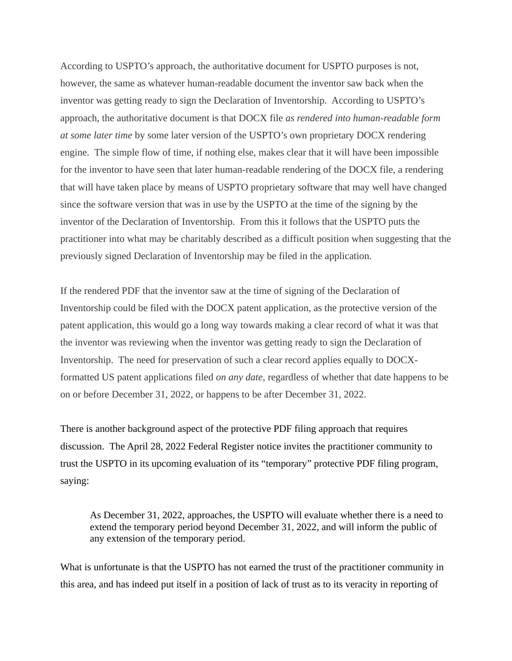According to USPTO's approach, the authoritative document for USPTO purposes is not, however, the same as whatever human-readable document the inventor saw back when the inventor was getting ready to sign the Declaration of Inventorship. According to USPTO's approach, the authoritative document is that DOCX file *as rendered into human-readable form at some later time* by some later version of the USPTO's own proprietary DOCX rendering engine. The simple flow of time, if nothing else, makes clear that it will have been impossible for the inventor to have seen that later human-readable rendering of the DOCX file, a rendering that will have taken place by means of USPTO proprietary software that may well have changed since the software version that was in use by the USPTO at the time of the signing by the inventor of the Declaration of Inventorship. From this it follows that the USPTO puts the practitioner into what may be charitably described as a difficult position when suggesting that the previously signed Declaration of Inventorship may be filed in the application.

If the rendered PDF that the inventor saw at the time of signing of the Declaration of Inventorship could be filed with the DOCX patent application, as the protective version of the patent application, this would go a long way towards making a clear record of what it was that the inventor was reviewing when the inventor was getting ready to sign the Declaration of Inventorship. The need for preservation of such a clear record applies equally to DOCXformatted US patent applications filed *on any date*, regardless of whether that date happens to be on or before December 31, 2022, or happens to be after December 31, 2022.

There is another background aspect of the protective PDF filing approach that requires discussion. The April 28, 2022 Federal Register notice invites the practitioner community to trust the USPTO in its upcoming evaluation of its "temporary" protective PDF filing program, saying:

As December 31, 2022, approaches, the USPTO will evaluate whether there is a need to extend the temporary period beyond December 31, 2022, and will inform the public of any extension of the temporary period.

What is unfortunate is that the USPTO has not earned the trust of the practitioner community in this area, and has indeed put itself in a position of lack of trust as to its veracity in reporting of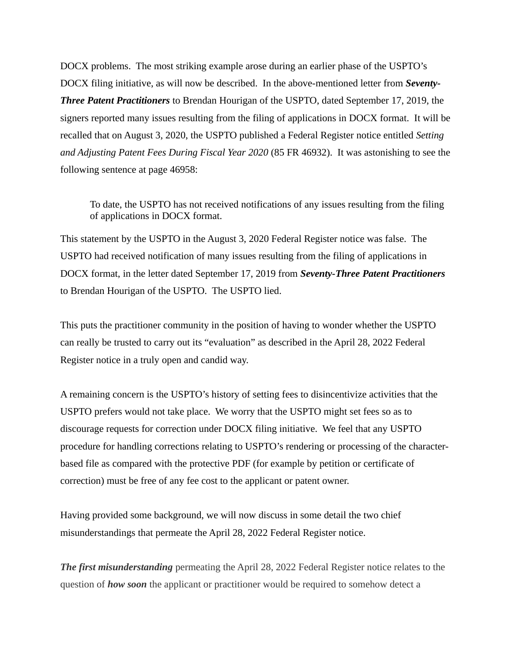DOCX problems. The most striking example arose during an earlier phase of the USPTO's DOCX filing initiative, as will now be described. In the above-mentioned letter from *Seventy-Three Patent Practitioners* to Brendan Hourigan of the USPTO, dated September 17, 2019, the signers reported many issues resulting from the filing of applications in DOCX format. It will be recalled that on August 3, 2020, the USPTO published a Federal Register notice entitled *Setting and Adjusting Patent Fees During Fiscal Year 2020* (85 FR 46932). It was astonishing to see the following sentence at page 46958:

To date, the USPTO has not received notifications of any issues resulting from the filing of applications in DOCX format.

This statement by the USPTO in the August 3, 2020 Federal Register notice was false. The USPTO had received notification of many issues resulting from the filing of applications in DOCX format, in the letter dated September 17, 2019 from *Seventy-Three Patent Practitioners*  to Brendan Hourigan of the USPTO. The USPTO lied.

This puts the practitioner community in the position of having to wonder whether the USPTO can really be trusted to carry out its "evaluation" as described in the April 28, 2022 Federal Register notice in a truly open and candid way.

A remaining concern is the USPTO's history of setting fees to disincentivize activities that the USPTO prefers would not take place. We worry that the USPTO might set fees so as to discourage requests for correction under DOCX filing initiative. We feel that any USPTO procedure for handling corrections relating to USPTO's rendering or processing of the characterbased file as compared with the protective PDF (for example by petition or certificate of correction) must be free of any fee cost to the applicant or patent owner.

Having provided some background, we will now discuss in some detail the two chief misunderstandings that permeate the April 28, 2022 Federal Register notice.

*The first misunderstanding* permeating the April 28, 2022 Federal Register notice relates to the question of *how soon* the applicant or practitioner would be required to somehow detect a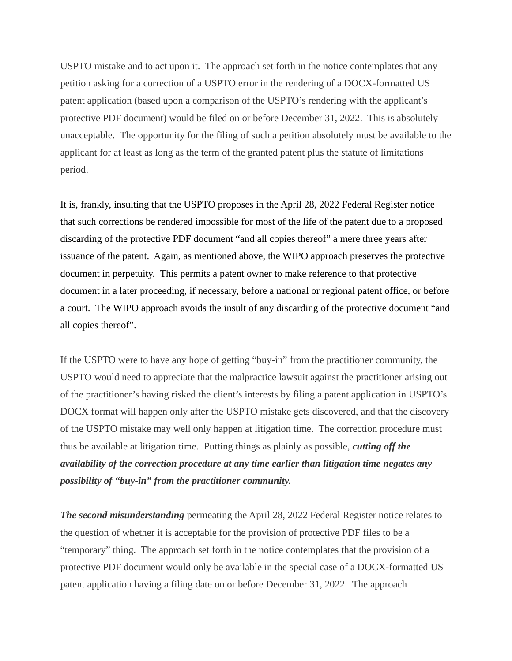USPTO mistake and to act upon it. The approach set forth in the notice contemplates that any petition asking for a correction of a USPTO error in the rendering of a DOCX-formatted US patent application (based upon a comparison of the USPTO's rendering with the applicant's protective PDF document) would be filed on or before December 31, 2022. This is absolutely unacceptable. The opportunity for the filing of such a petition absolutely must be available to the applicant for at least as long as the term of the granted patent plus the statute of limitations period.

It is, frankly, insulting that the USPTO proposes in the April 28, 2022 Federal Register notice that such corrections be rendered impossible for most of the life of the patent due to a proposed discarding of the protective PDF document "and all copies thereof" a mere three years after issuance of the patent. Again, as mentioned above, the WIPO approach preserves the protective document in perpetuity. This permits a patent owner to make reference to that protective document in a later proceeding, if necessary, before a national or regional patent office, or before a court. The WIPO approach avoids the insult of any discarding of the protective document "and all copies thereof".

If the USPTO were to have any hope of getting "buy-in" from the practitioner community, the USPTO would need to appreciate that the malpractice lawsuit against the practitioner arising out of the practitioner's having risked the client's interests by filing a patent application in USPTO's DOCX format will happen only after the USPTO mistake gets discovered, and that the discovery of the USPTO mistake may well only happen at litigation time. The correction procedure must thus be available at litigation time. Putting things as plainly as possible, *cutting off the availability of the correction procedure at any time earlier than litigation time negates any possibility of "buy-in" from the practitioner community.*

*The second misunderstanding* permeating the April 28, 2022 Federal Register notice relates to the question of whether it is acceptable for the provision of protective PDF files to be a "temporary" thing. The approach set forth in the notice contemplates that the provision of a protective PDF document would only be available in the special case of a DOCX-formatted US patent application having a filing date on or before December 31, 2022. The approach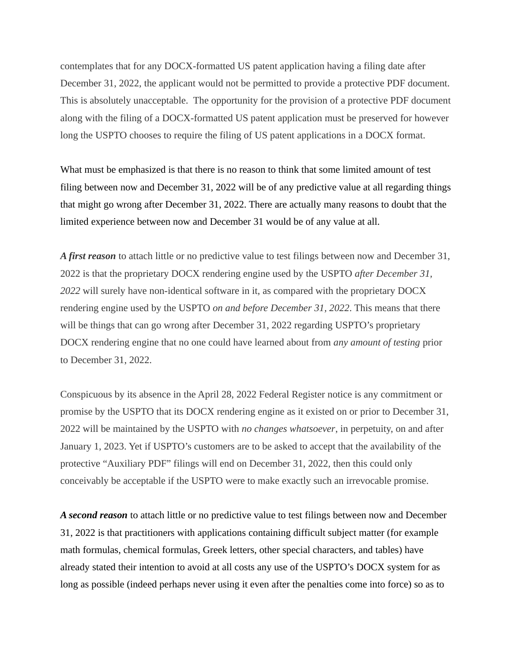contemplates that for any DOCX-formatted US patent application having a filing date after December 31, 2022, the applicant would not be permitted to provide a protective PDF document. This is absolutely unacceptable. The opportunity for the provision of a protective PDF document along with the filing of a DOCX-formatted US patent application must be preserved for however long the USPTO chooses to require the filing of US patent applications in a DOCX format.

What must be emphasized is that there is no reason to think that some limited amount of test filing between now and December 31, 2022 will be of any predictive value at all regarding things that might go wrong after December 31, 2022. There are actually many reasons to doubt that the limited experience between now and December 31 would be of any value at all.

*A first reason* to attach little or no predictive value to test filings between now and December 31, 2022 is that the proprietary DOCX rendering engine used by the USPTO *after December 31, 2022* will surely have non-identical software in it, as compared with the proprietary DOCX rendering engine used by the USPTO *on and before December 31, 2022*. This means that there will be things that can go wrong after December 31, 2022 regarding USPTO's proprietary DOCX rendering engine that no one could have learned about from *any amount of testing* prior to December 31, 2022.

Conspicuous by its absence in the April 28, 2022 Federal Register notice is any commitment or promise by the USPTO that its DOCX rendering engine as it existed on or prior to December 31, 2022 will be maintained by the USPTO with *no changes whatsoever*, in perpetuity, on and after January 1, 2023. Yet if USPTO's customers are to be asked to accept that the availability of the protective "Auxiliary PDF" filings will end on December 31, 2022, then this could only conceivably be acceptable if the USPTO were to make exactly such an irrevocable promise.

*A second reason* to attach little or no predictive value to test filings between now and December 31, 2022 is that practitioners with applications containing difficult subject matter (for example math formulas, chemical formulas, Greek letters, other special characters, and tables) have already stated their intention to avoid at all costs any use of the USPTO's DOCX system for as long as possible (indeed perhaps never using it even after the penalties come into force) so as to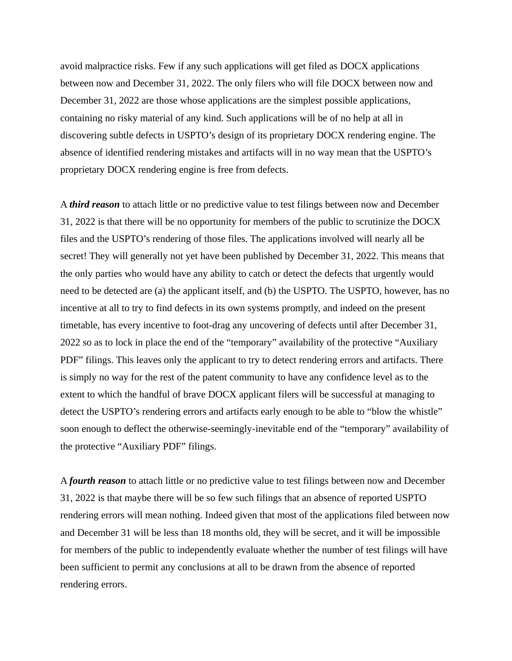avoid malpractice risks. Few if any such applications will get filed as DOCX applications between now and December 31, 2022. The only filers who will file DOCX between now and December 31, 2022 are those whose applications are the simplest possible applications, containing no risky material of any kind. Such applications will be of no help at all in discovering subtle defects in USPTO's design of its proprietary DOCX rendering engine. The absence of identified rendering mistakes and artifacts will in no way mean that the USPTO's proprietary DOCX rendering engine is free from defects.

A *third reason* to attach little or no predictive value to test filings between now and December 31, 2022 is that there will be no opportunity for members of the public to scrutinize the DOCX files and the USPTO's rendering of those files. The applications involved will nearly all be secret! They will generally not yet have been published by December 31, 2022. This means that the only parties who would have any ability to catch or detect the defects that urgently would need to be detected are (a) the applicant itself, and (b) the USPTO. The USPTO, however, has no incentive at all to try to find defects in its own systems promptly, and indeed on the present timetable, has every incentive to foot-drag any uncovering of defects until after December 31, 2022 so as to lock in place the end of the "temporary" availability of the protective "Auxiliary PDF" filings. This leaves only the applicant to try to detect rendering errors and artifacts. There is simply no way for the rest of the patent community to have any confidence level as to the extent to which the handful of brave DOCX applicant filers will be successful at managing to detect the USPTO's rendering errors and artifacts early enough to be able to "blow the whistle" soon enough to deflect the otherwise-seemingly-inevitable end of the "temporary" availability of the protective "Auxiliary PDF" filings.

A *fourth reason* to attach little or no predictive value to test filings between now and December 31, 2022 is that maybe there will be so few such filings that an absence of reported USPTO rendering errors will mean nothing. Indeed given that most of the applications filed between now and December 31 will be less than 18 months old, they will be secret, and it will be impossible for members of the public to independently evaluate whether the number of test filings will have been sufficient to permit any conclusions at all to be drawn from the absence of reported rendering errors.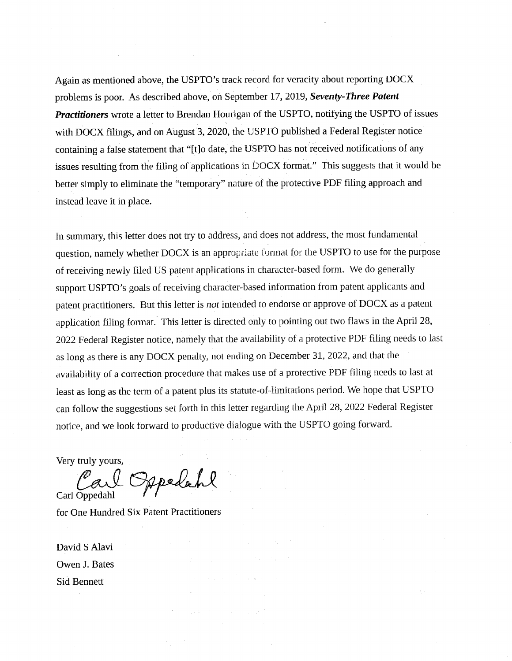Again as mentioned above, the USPTO's track record for veracity about reporting DOCX problems is poor. As described above, on September 17, 2019, Seventy-Three Patent **Practitioners** wrote a letter to Brendan Hourigan of the USPTO, notifying the USPTO of issues with DOCX filings, and on August 3, 2020, the USPTO published a Federal Register notice containing a false statement that "[t]o date, the USPTO has not received notifications of any issues resulting from the filing of applications in DOCX format." This suggests that it would be better simply to eliminate the "temporary" nature of the protective PDF filing approach and instead leave it in place.

In summary, this letter does not try to address, and does not address, the most fundamental question, namely whether DOCX is an appropriate format for the USPTO to use for the purpose of receiving newly filed US patent applications in character-based form. We do generally support USPTO's goals of receiving character-based information from patent applicants and patent practitioners. But this letter is not intended to endorse or approve of DOCX as a patent application filing format. This letter is directed only to pointing out two flaws in the April 28, 2022 Federal Register notice, namely that the availability of a protective PDF filing needs to last as long as there is any DOCX penalty, not ending on December 31, 2022, and that the availability of a correction procedure that makes use of a protective PDF filing needs to last at least as long as the term of a patent plus its statute-of-limitations period. We hope that USPTO can follow the suggestions set forth in this letter regarding the April 28, 2022 Federal Register notice, and we look forward to productive dialogue with the USPTO going forward.

Very truly yours,

I Oppelant Carl Oppedahl

for One Hundred Six Patent Practitioners

David S Alavi Owen J. Bates **Sid Bennett**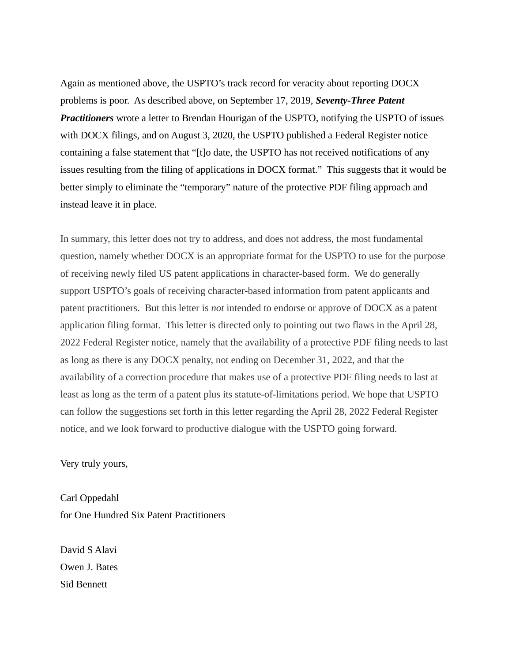Again as mentioned above, the USPTO's track record for veracity about reporting DOCX problems is poor. As described above, on September 17, 2019, *Seventy-Three Patent Practitioners* wrote a letter to Brendan Hourigan of the USPTO, notifying the USPTO of issues with DOCX filings, and on August 3, 2020, the USPTO published a Federal Register notice containing a false statement that "[t]o date, the USPTO has not received notifications of any issues resulting from the filing of applications in DOCX format." This suggests that it would be better simply to eliminate the "temporary" nature of the protective PDF filing approach and instead leave it in place.

In summary, this letter does not try to address, and does not address, the most fundamental question, namely whether DOCX is an appropriate format for the USPTO to use for the purpose of receiving newly filed US patent applications in character-based form. We do generally support USPTO's goals of receiving character-based information from patent applicants and patent practitioners. But this letter is *not* intended to endorse or approve of DOCX as a patent application filing format. This letter is directed only to pointing out two flaws in the April 28, 2022 Federal Register notice, namely that the availability of a protective PDF filing needs to last as long as there is any DOCX penalty, not ending on December 31, 2022, and that the availability of a correction procedure that makes use of a protective PDF filing needs to last at least as long as the term of a patent plus its statute-of-limitations period. We hope that USPTO can follow the suggestions set forth in this letter regarding the April 28, 2022 Federal Register notice, and we look forward to productive dialogue with the USPTO going forward.

Very truly yours,

Carl Oppedahl for One Hundred Six Patent Practitioners

David S Alavi Owen J. Bates Sid Bennett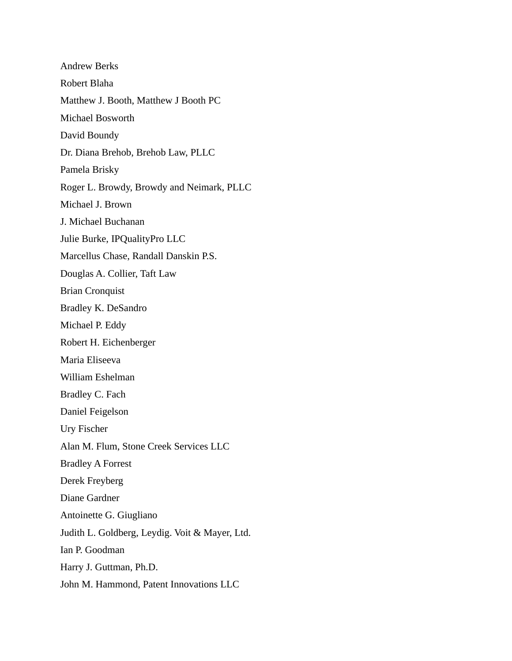Andrew Berks Robert Blaha Matthew J. Booth, Matthew J Booth PC Michael Bosworth David Boundy Dr. Diana Brehob, Brehob Law, PLLC Pamela Brisky Roger L. Browdy, Browdy and Neimark, PLLC Michael J. Brown J. Michael Buchanan Julie Burke, IPQualityPro LLC Marcellus Chase, Randall Danskin P.S. Douglas A. Collier, Taft Law Brian Cronquist Bradley K. DeSandro Michael P. Eddy Robert H. Eichenberger Maria Eliseeva William Eshelman Bradley C. Fach Daniel Feigelson Ury Fischer Alan M. Flum, Stone Creek Services LLC Bradley A Forrest Derek Freyberg Diane Gardner Antoinette G. Giugliano Judith L. Goldberg, Leydig. Voit & Mayer, Ltd. Ian P. Goodman Harry J. Guttman, Ph.D. John M. Hammond, Patent Innovations LLC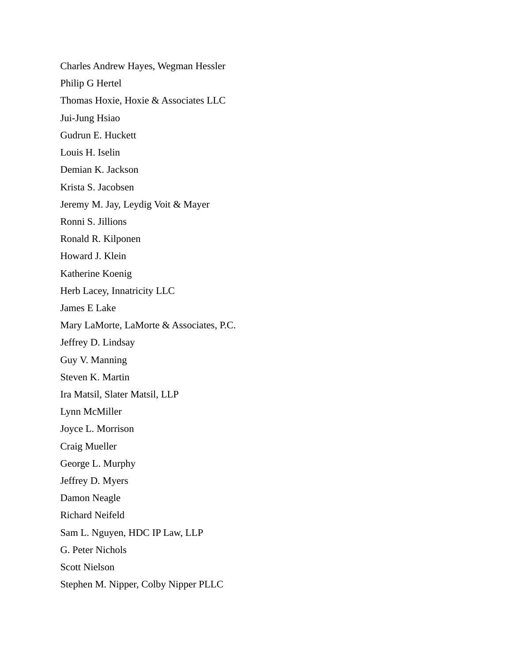Charles Andrew Hayes, Wegman Hessler Philip G Hertel Thomas Hoxie, Hoxie & Associates LLC Jui-Jung Hsiao Gudrun E. Huckett Louis H. Iselin Demian K. Jackson Krista S. Jacobsen Jeremy M. Jay, Leydig Voit & Mayer Ronni S. Jillions Ronald R. Kilponen Howard J. Klein Katherine Koenig Herb Lacey, Innatricity LLC James E Lake Mary LaMorte, LaMorte & Associates, P.C. Jeffrey D. Lindsay Guy V. Manning Steven K. Martin Ira Matsil, Slater Matsil, LLP Lynn McMiller Joyce L. Morrison Craig Mueller George L. Murphy Jeffrey D. Myers Damon Neagle Richard Neifeld Sam L. Nguyen, HDC IP Law, LLP G. Peter Nichols Scott Nielson Stephen M. Nipper, Colby Nipper PLLC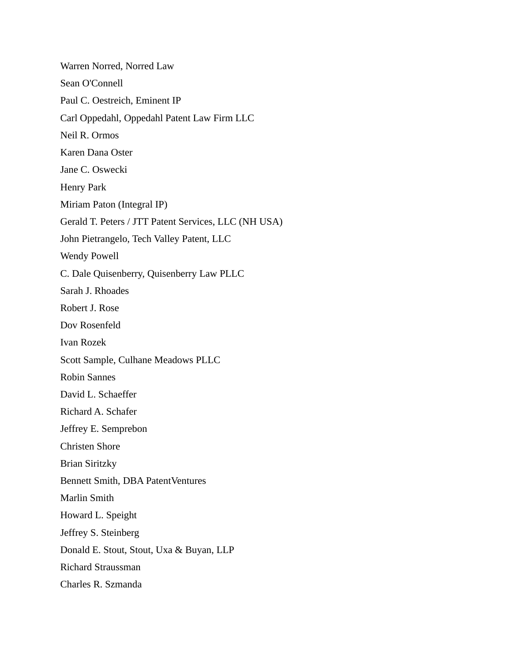Warren Norred, Norred Law Sean O'Connell Paul C. Oestreich, Eminent IP Carl Oppedahl, Oppedahl Patent Law Firm LLC Neil R. Ormos Karen Dana Oster Jane C. Oswecki Henry Park Miriam Paton (Integral IP) Gerald T. Peters / JTT Patent Services, LLC (NH USA) John Pietrangelo, Tech Valley Patent, LLC Wendy Powell C. Dale Quisenberry, Quisenberry Law PLLC Sarah J. Rhoades Robert J. Rose Dov Rosenfeld Ivan Rozek Scott Sample, Culhane Meadows PLLC Robin Sannes David L. Schaeffer Richard A. Schafer Jeffrey E. Semprebon Christen Shore Brian Siritzky Bennett Smith, DBA PatentVentures Marlin Smith Howard L. Speight Jeffrey S. Steinberg Donald E. Stout, Stout, Uxa & Buyan, LLP Richard Straussman Charles R. Szmanda